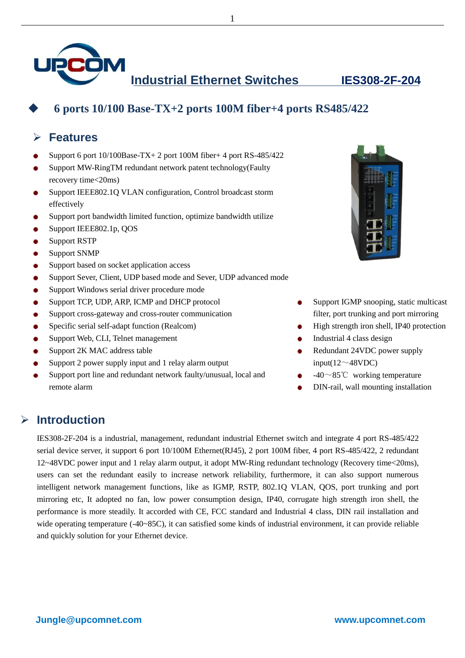

**Industrial Ethernet Switches IES308-2F-204**



## **6 ports 10/100 Base-TX+2 ports 100M fiber+4 ports RS485/422**

### **Features**

- Support 6 port 10/100Base-TX+ 2 port 100M fiber+ 4 port RS-485/422 ٠
- Support MW-RingTM redundant network patent technology(Faulty ٠ recovery time<20ms)
- Support IEEE802.1Q VLAN configuration, Control broadcast storm  $\bullet$ effectively
- Support port bandwidth limited function, optimize bandwidth utilize  $\bullet$
- Support IEEE802.1p, QOS ٠
- Support RSTP ٠
- Support SNMP  $\bullet$
- Support based on socket application access  $\bullet$
- Support Sever, Client, UDP based mode and Sever, UDP advanced mode  $\bullet$
- Support Windows serial driver procedure mode ٠
- Support TCP, UDP, ARP, ICMP and DHCP protocol ۰
- Support cross-gateway and cross-router communication ٠
- Specific serial self-adapt function (Realcom)  $\bullet$
- Support Web, CLI, Telnet management  $\bullet$
- Support 2K MAC address table ٠
- Support 2 power supply input and 1 relay alarm output  $\bullet$
- Support port line and redundant network faulty/unusual, local and  $\bullet$ remote alarm



- Support IGMP snooping, static multicast filter, port trunking and port mirroring
- High strength iron shell, IP40 protection
- Industrial 4 class design
- Redundant 24VDC power supply input( $12 \sim 48$ VDC)
- -40~85℃ working temperature
- DIN-rail, wall mounting installation

#### **Introduction**

IES308-2F-204 is a industrial, management, redundant industrial Ethernet switch and integrate 4 port RS-485/422 serial device server, it support 6 port 10/100M Ethernet(RJ45), 2 port 100M fiber, 4 port RS-485/422, 2 redundant 12~48VDC power input and 1 relay alarm output, it adopt MW-Ring redundant technology (Recovery time<20ms), users can set the redundant easily to increase network reliability, furthermore, it can also support numerous intelligent network management functions, like as IGMP, RSTP, 802.1Q VLAN, QOS, port trunking and port mirroring etc, It adopted no fan, low power consumption design, IP40, corrugate high strength iron shell, the performance is more steadily. It accorded with CE, FCC standard and Industrial 4 class, DIN rail installation and wide operating temperature (-40~85C), it can satisfied some kinds of industrial environment, it can provide reliable and quickly solution for your Ethernet device.

1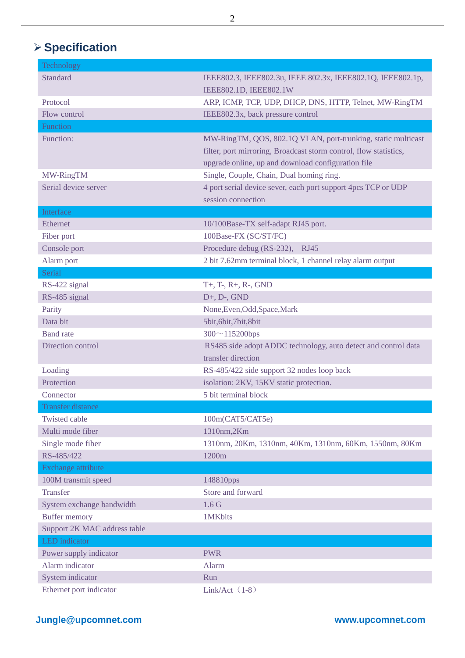# **Specification**

| Technology                   |                                                                   |
|------------------------------|-------------------------------------------------------------------|
| <b>Standard</b>              | IEEE802.3, IEEE802.3u, IEEE 802.3x, IEEE802.1Q, IEEE802.1p,       |
|                              | IEEE802.1D, IEEE802.1W                                            |
| Protocol                     | ARP, ICMP, TCP, UDP, DHCP, DNS, HTTP, Telnet, MW-RingTM           |
| Flow control                 | IEEE802.3x, back pressure control                                 |
| Function                     |                                                                   |
| Function:                    | MW-RingTM, QOS, 802.1Q VLAN, port-trunking, static multicast      |
|                              | filter, port mirroring, Broadcast storm control, flow statistics, |
|                              | upgrade online, up and download configuration file                |
| MW-RingTM                    | Single, Couple, Chain, Dual homing ring.                          |
| Serial device server         | 4 port serial device sever, each port support 4pcs TCP or UDP     |
|                              | session connection                                                |
| Interface                    |                                                                   |
| Ethernet                     | 10/100Base-TX self-adapt RJ45 port.                               |
| Fiber port                   | 100Base-FX (SC/ST/FC)                                             |
| Console port                 | Procedure debug (RS-232),<br><b>RJ45</b>                          |
| Alarm port                   | 2 bit 7.62mm terminal block, 1 channel relay alarm output         |
| Serial                       |                                                                   |
| RS-422 signal                | $T+, T-, R+, R-, GND$                                             |
| RS-485 signal                | $D+$ , $D-$ , $GND$                                               |
| Parity                       | None, Even, Odd, Space, Mark                                      |
| Data bit                     | 5bit, 6bit, 7bit, 8bit                                            |
| <b>Band</b> rate             | $300 \sim 115200$ bps                                             |
| Direction control            | RS485 side adopt ADDC technology, auto detect and control data    |
|                              | transfer direction                                                |
| Loading                      | RS-485/422 side support 32 nodes loop back                        |
| Protection                   | isolation: 2KV, 15KV static protection.                           |
| Connector                    | 5 bit terminal block                                              |
| Transfer distance            |                                                                   |
| Twisted cable                | 100m(CAT5/CAT5e)                                                  |
| Multi mode fiber             | 1310nm,2Km                                                        |
| Single mode fiber            | 1310nm, 20Km, 1310nm, 40Km, 1310nm, 60Km, 1550nm, 80Km            |
| RS-485/422                   | 1200m                                                             |
| Exchange attribute           |                                                                   |
| 100M transmit speed          | 148810pps                                                         |
| <b>Transfer</b>              | Store and forward                                                 |
| System exchange bandwidth    | 1.6 <sub>G</sub>                                                  |
| <b>Buffer memory</b>         | 1MKbits                                                           |
| Support 2K MAC address table |                                                                   |
| LED indicator                |                                                                   |
| Power supply indicator       | <b>PWR</b>                                                        |
| Alarm indicator              | Alarm                                                             |
| System indicator             | Run                                                               |
| Ethernet port indicator      | Link/Act $(1-8)$                                                  |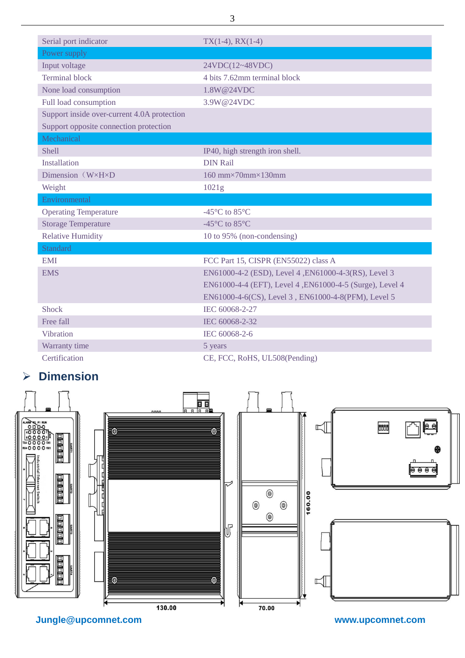| Serial port indicator                       | $TX(1-4)$ , RX $(1-4)$                                   |
|---------------------------------------------|----------------------------------------------------------|
| Power supply                                |                                                          |
| Input voltage                               | 24VDC(12~48VDC)                                          |
| <b>Terminal block</b>                       | 4 bits 7.62mm terminal block                             |
| None load consumption                       | 1.8W@24VDC                                               |
| Full load consumption                       | 3.9W@24VDC                                               |
| Support inside over-current 4.0A protection |                                                          |
| Support opposite connection protection      |                                                          |
| Mechanical                                  |                                                          |
| <b>Shell</b>                                | IP40, high strength iron shell.                          |
| Installation                                | <b>DIN Rail</b>                                          |
| Dimension $(W \times H \times D)$           | 160 mm $\times$ 70mm $\times$ 130mm                      |
| Weight                                      | 1021g                                                    |
| Environmental                               |                                                          |
| <b>Operating Temperature</b>                | -45 °C to 85 °C                                          |
| <b>Storage Temperature</b>                  | -45 °C to 85 °C                                          |
| <b>Relative Humidity</b>                    | 10 to 95% (non-condensing)                               |
| Standard                                    |                                                          |
| <b>EMI</b>                                  | FCC Part 15, CISPR (EN55022) class A                     |
| <b>EMS</b>                                  | EN61000-4-2 (ESD), Level 4, EN61000-4-3(RS), Level 3     |
|                                             | EN61000-4-4 (EFT), Level 4, EN61000-4-5 (Surge), Level 4 |
|                                             | EN61000-4-6(CS), Level 3, EN61000-4-8(PFM), Level 5      |
| Shock                                       | IEC 60068-2-27                                           |
| Free fall                                   | IEC 60068-2-32                                           |
| Vibration                                   | IEC 60068-2-6                                            |
| Warranty time                               | 5 years                                                  |
| Certification                               | CE, FCC, RoHS, UL508(Pending)                            |

# **Dimension**